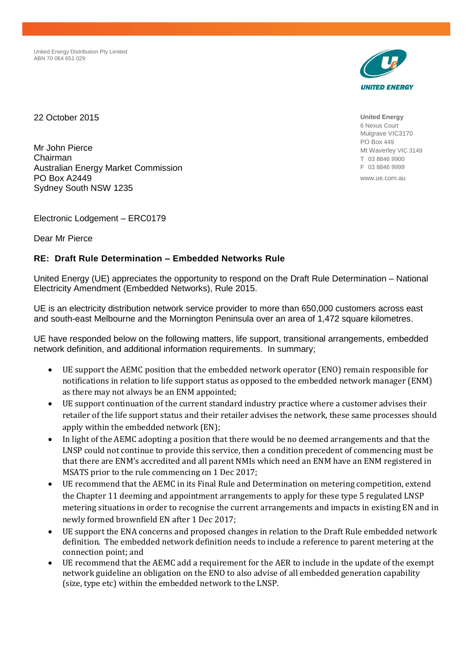United Energy Distribution Pty Limited ABN 70 064 651 029



22 October 2015

Mr John Pierce Chairman Australian Energy Market Commission PO Box A2449 Sydney South NSW 1235

Electronic Lodgement – ERC0179

Dear Mr Pierce

#### **RE: Draft Rule Determination – Embedded Networks Rule**

United Energy (UE) appreciates the opportunity to respond on the Draft Rule Determination – National Electricity Amendment (Embedded Networks), Rule 2015.

UE is an electricity distribution network service provider to more than 650,000 customers across east and south-east Melbourne and the Mornington Peninsula over an area of 1,472 square kilometres.

UE have responded below on the following matters, life support, transitional arrangements, embedded network definition, and additional information requirements. In summary;

- UE support the AEMC position that the embedded network operator (ENO) remain responsible for notifications in relation to life support status as opposed to the embedded network manager (ENM) as there may not always be an ENM appointed;
- UE support continuation of the current standard industry practice where a customer advises their retailer of the life support status and their retailer advises the network, these same processes should apply within the embedded network (EN);
- In light of the AEMC adopting a position that there would be no deemed arrangements and that the LNSP could not continue to provide this service, then a condition precedent of commencing must be that there are ENM's accredited and all parent NMIs which need an ENM have an ENM registered in MSATS prior to the rule commencing on 1 Dec 2017;
- UE recommend that the AEMC in its Final Rule and Determination on metering competition, extend the Chapter 11 deeming and appointment arrangements to apply for these type 5 regulated LNSP metering situations in order to recognise the current arrangements and impacts in existing EN and in newly formed brownfield EN after 1 Dec 2017;
- UE support the ENA concerns and proposed changes in relation to the Draft Rule embedded network definition. The embedded network definition needs to include a reference to parent metering at the connection point; and
- UE recommend that the AEMC add a requirement for the AER to include in the update of the exempt network guideline an obligation on the ENO to also advise of all embedded generation capability (size, type etc) within the embedded network to the LNSP.

**United Energy** 6 Nexus Court Mulgrave VIC3170 PO Box 449 Mt Waverley VIC 3149 T 03 8846 9900 F 03 8846 9999

www.ue.com.au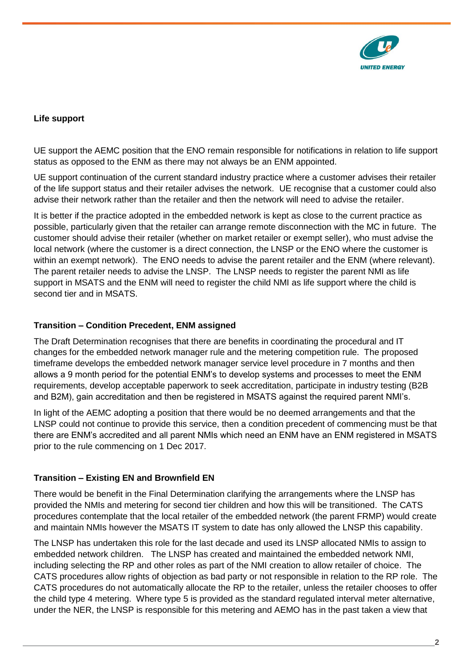

# **Life support**

UE support the AEMC position that the ENO remain responsible for notifications in relation to life support status as opposed to the ENM as there may not always be an ENM appointed.

UE support continuation of the current standard industry practice where a customer advises their retailer of the life support status and their retailer advises the network. UE recognise that a customer could also advise their network rather than the retailer and then the network will need to advise the retailer.

It is better if the practice adopted in the embedded network is kept as close to the current practice as possible, particularly given that the retailer can arrange remote disconnection with the MC in future. The customer should advise their retailer (whether on market retailer or exempt seller), who must advise the local network (where the customer is a direct connection, the LNSP or the ENO where the customer is within an exempt network). The ENO needs to advise the parent retailer and the ENM (where relevant). The parent retailer needs to advise the LNSP. The LNSP needs to register the parent NMI as life support in MSATS and the ENM will need to register the child NMI as life support where the child is second tier and in MSATS.

### **Transition – Condition Precedent, ENM assigned**

The Draft Determination recognises that there are benefits in coordinating the procedural and IT changes for the embedded network manager rule and the metering competition rule. The proposed timeframe develops the embedded network manager service level procedure in 7 months and then allows a 9 month period for the potential ENM's to develop systems and processes to meet the ENM requirements, develop acceptable paperwork to seek accreditation, participate in industry testing (B2B and B2M), gain accreditation and then be registered in MSATS against the required parent NMI's.

In light of the AEMC adopting a position that there would be no deemed arrangements and that the LNSP could not continue to provide this service, then a condition precedent of commencing must be that there are ENM's accredited and all parent NMIs which need an ENM have an ENM registered in MSATS prior to the rule commencing on 1 Dec 2017.

## **Transition – Existing EN and Brownfield EN**

There would be benefit in the Final Determination clarifying the arrangements where the LNSP has provided the NMIs and metering for second tier children and how this will be transitioned. The CATS procedures contemplate that the local retailer of the embedded network (the parent FRMP) would create and maintain NMIs however the MSATS IT system to date has only allowed the LNSP this capability.

The LNSP has undertaken this role for the last decade and used its LNSP allocated NMIs to assign to embedded network children. The LNSP has created and maintained the embedded network NMI, including selecting the RP and other roles as part of the NMI creation to allow retailer of choice. The CATS procedures allow rights of objection as bad party or not responsible in relation to the RP role. The CATS procedures do not automatically allocate the RP to the retailer, unless the retailer chooses to offer the child type 4 metering. Where type 5 is provided as the standard regulated interval meter alternative, under the NER, the LNSP is responsible for this metering and AEMO has in the past taken a view that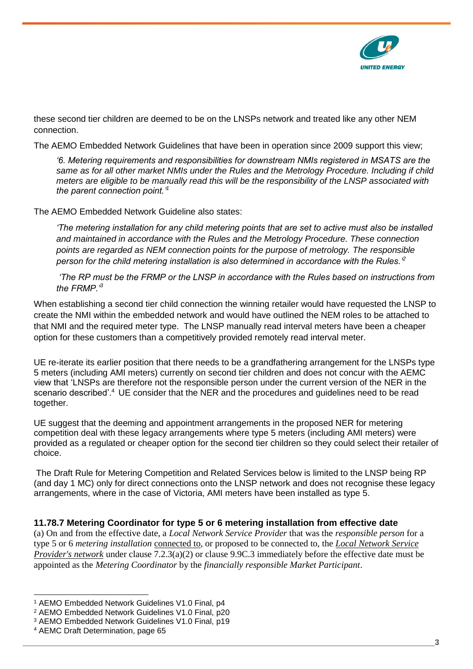

these second tier children are deemed to be on the LNSPs network and treated like any other NEM connection.

The AEMO Embedded Network Guidelines that have been in operation since 2009 support this view;

*'6. Metering requirements and responsibilities for downstream NMIs registered in MSATS are the same as for all other market NMIs under the Rules and the Metrology Procedure. Including if child meters are eligible to be manually read this will be the responsibility of the LNSP associated with the parent connection point.'<sup>1</sup>*

The AEMO Embedded Network Guideline also states:

*'The metering installation for any child metering points that are set to active must also be installed and maintained in accordance with the Rules and the Metrology Procedure. These connection points are regarded as NEM connection points for the purpose of metrology. The responsible person for the child metering installation is also determined in accordance with the Rules.'<sup>2</sup>*

*'The RP must be the FRMP or the LNSP in accordance with the Rules based on instructions from the FRMP.'<sup>3</sup>*

When establishing a second tier child connection the winning retailer would have requested the LNSP to create the NMI within the embedded network and would have outlined the NEM roles to be attached to that NMI and the required meter type. The LNSP manually read interval meters have been a cheaper option for these customers than a competitively provided remotely read interval meter.

UE re-iterate its earlier position that there needs to be a grandfathering arrangement for the LNSPs type 5 meters (including AMI meters) currently on second tier children and does not concur with the AEMC view that 'LNSPs are therefore not the responsible person under the current version of the NER in the scenario described'.<sup>4</sup> UE consider that the NER and the procedures and guidelines need to be read together.

UE suggest that the deeming and appointment arrangements in the proposed NER for metering competition deal with these legacy arrangements where type 5 meters (including AMI meters) were provided as a regulated or cheaper option for the second tier children so they could select their retailer of choice.

The Draft Rule for Metering Competition and Related Services below is limited to the LNSP being RP (and day 1 MC) only for direct connections onto the LNSP network and does not recognise these legacy arrangements, where in the case of Victoria, AMI meters have been installed as type 5.

#### **11.78.7 Metering Coordinator for type 5 or 6 metering installation from effective date**

(a) On and from the effective date, a *Local Network Service Provider* that was the *responsible person* for a type 5 or 6 *metering installation* connected to, or proposed to be connected to, the *Local Network Service Provider's network* under clause 7.2.3(a)(2) or clause 9.9C.3 immediately before the effective date must be appointed as the *Metering Coordinator* by the *financially responsible Market Participant*.

 $\overline{a}$ 

<sup>1</sup> AEMO Embedded Network Guidelines V1.0 Final, p4

<sup>2</sup> AEMO Embedded Network Guidelines V1.0 Final, p20

<sup>3</sup> AEMO Embedded Network Guidelines V1.0 Final, p19

<sup>4</sup> AEMC Draft Determination, page 65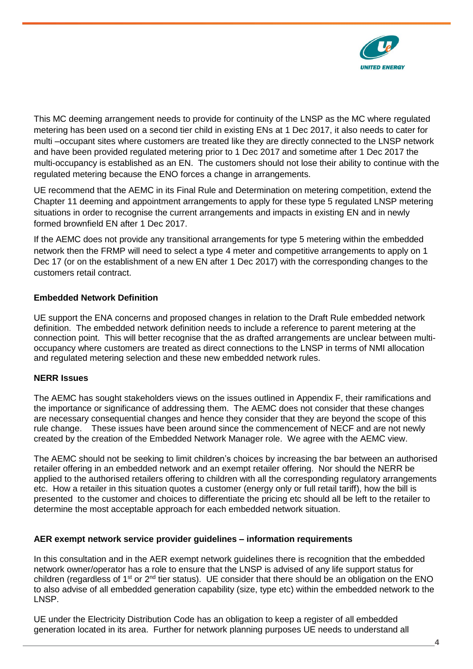

This MC deeming arrangement needs to provide for continuity of the LNSP as the MC where regulated metering has been used on a second tier child in existing ENs at 1 Dec 2017, it also needs to cater for multi –occupant sites where customers are treated like they are directly connected to the LNSP network and have been provided regulated metering prior to 1 Dec 2017 and sometime after 1 Dec 2017 the multi-occupancy is established as an EN. The customers should not lose their ability to continue with the regulated metering because the ENO forces a change in arrangements.

UE recommend that the AEMC in its Final Rule and Determination on metering competition, extend the Chapter 11 deeming and appointment arrangements to apply for these type 5 regulated LNSP metering situations in order to recognise the current arrangements and impacts in existing EN and in newly formed brownfield EN after 1 Dec 2017.

If the AEMC does not provide any transitional arrangements for type 5 metering within the embedded network then the FRMP will need to select a type 4 meter and competitive arrangements to apply on 1 Dec 17 (or on the establishment of a new EN after 1 Dec 2017) with the corresponding changes to the customers retail contract.

## **Embedded Network Definition**

UE support the ENA concerns and proposed changes in relation to the Draft Rule embedded network definition. The embedded network definition needs to include a reference to parent metering at the connection point. This will better recognise that the as drafted arrangements are unclear between multioccupancy where customers are treated as direct connections to the LNSP in terms of NMI allocation and regulated metering selection and these new embedded network rules.

## **NERR Issues**

The AEMC has sought stakeholders views on the issues outlined in Appendix F, their ramifications and the importance or significance of addressing them. The AEMC does not consider that these changes are necessary consequential changes and hence they consider that they are beyond the scope of this rule change. These issues have been around since the commencement of NECF and are not newly created by the creation of the Embedded Network Manager role. We agree with the AEMC view.

The AEMC should not be seeking to limit children's choices by increasing the bar between an authorised retailer offering in an embedded network and an exempt retailer offering. Nor should the NERR be applied to the authorised retailers offering to children with all the corresponding regulatory arrangements etc. How a retailer in this situation quotes a customer (energy only or full retail tariff), how the bill is presented to the customer and choices to differentiate the pricing etc should all be left to the retailer to determine the most acceptable approach for each embedded network situation.

## **AER exempt network service provider guidelines – information requirements**

In this consultation and in the AER exempt network guidelines there is recognition that the embedded network owner/operator has a role to ensure that the LNSP is advised of any life support status for children (regardless of 1<sup>st</sup> or 2<sup>nd</sup> tier status). UE consider that there should be an obligation on the ENO to also advise of all embedded generation capability (size, type etc) within the embedded network to the LNSP.

UE under the Electricity Distribution Code has an obligation to keep a register of all embedded generation located in its area. Further for network planning purposes UE needs to understand all